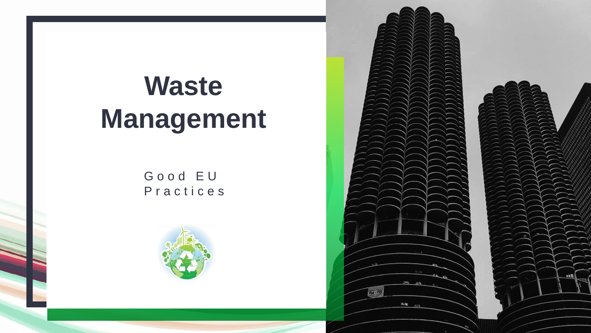## **Waste Management**

G o o d E U P r a c t i c e s





 $0.6$  Vil.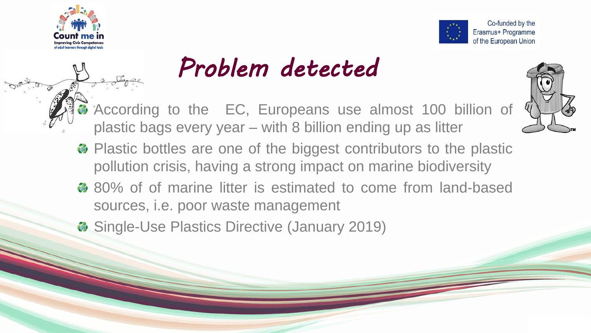



## *Problem detected*

According to the EC, Europeans use almost 100 billion of plastic bags every year – with 8 billion ending up as litter



- Plastic bottles are one of the biggest contributors to the plastic pollution crisis, having a strong impact on marine biodiversity
- $\bullet$  80% of of marine litter is estimated to come from land-based sources, i.e. poor waste management
- $\bullet$  Single-Use Plastics Directive (January 2019)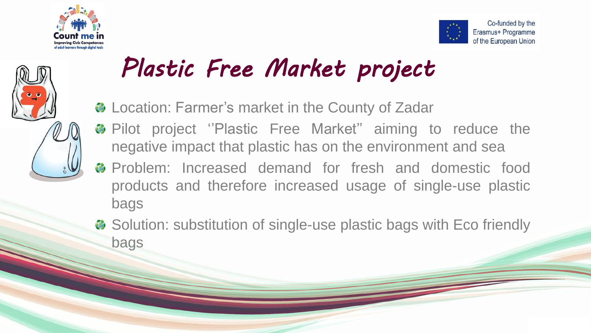





## *Plastic Free Market project*

- Location: Farmer's market in the County of Zadar
- Pilot project ''Plastic Free Market'' aiming to reduce the negative impact that plastic has on the environment and sea
- **<sup>3</sup>** Problem: Increased demand for fresh and domestic food products and therefore increased usage of single-use plastic bags
- $\bullet$  Solution: substitution of single-use plastic bags with Eco friendly bags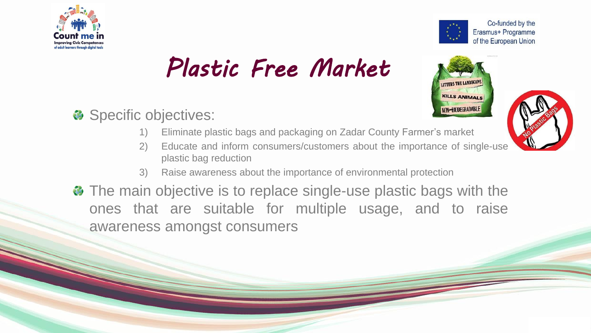

## *Plastic Free Market*





Co-funded by the Erasmus+ Programme

#### Specific objectives:

- 1) Eliminate plastic bags and packaging on Zadar County Farmer's market
- 2) Educate and inform consumers/customers about the importance of single-use plastic bag reduction
- 3) Raise awareness about the importance of environmental protection
- The main objective is to replace single-use plastic bags with the ones that are suitable for multiple usage, and to raise awareness amongst consumers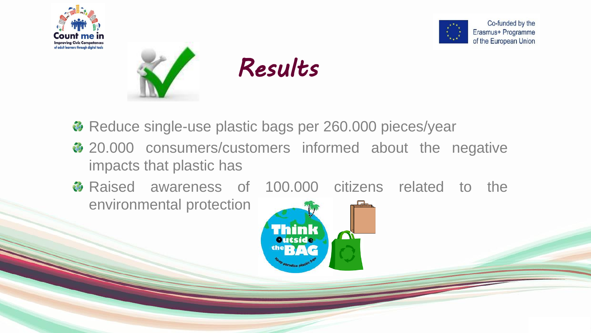







- Reduce single-use plastic bags per 260.000 pieces/year
- ♦ 20.000 consumers/customers informed about the negative impacts that plastic has
- Raised awareness of 100.000 citizens related to the environmental protection

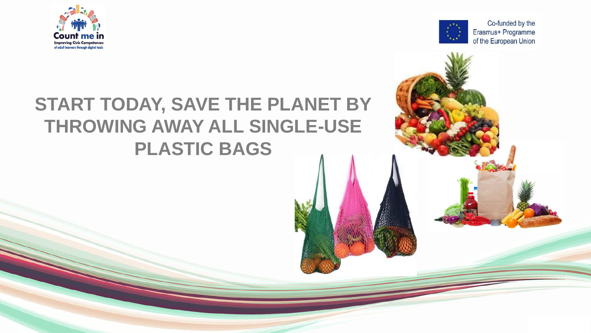



# **START TODAY, SAVE THE PLANET BY THROWING AWAY ALL SINGLE-USE PLASTIC BAGS**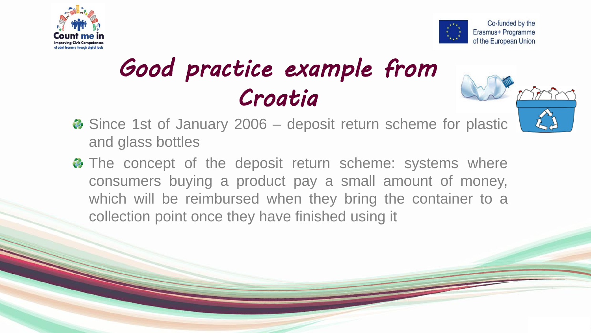



## *Good practice example from Croatia*



- Since 1st of January 2006 deposit return scheme for plastic and glass bottles
- The concept of the deposit return scheme: systems where consumers buying a product pay a small amount of money, which will be reimbursed when they bring the container to a collection point once they have finished using it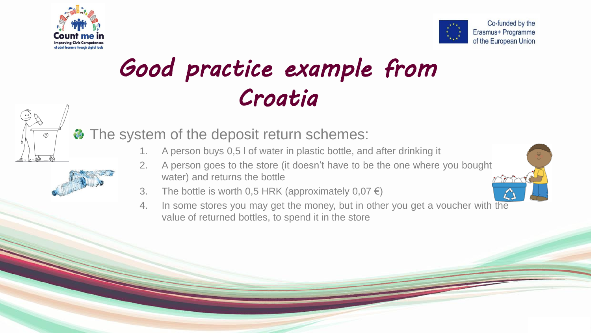



## *Good practice example from Croatia*





- The system of the deposit return schemes:
	- 1. A person buys 0,5 l of water in plastic bottle, and after drinking it
	- 2. A person goes to the store (it doesn't have to be the one where you bought water) and returns the bottle
	- 3. The bottle is worth 0,5 HRK (approximately  $0.07 \in$ )
	- 4. In some stores you may get the money, but in other you get a voucher with the value of returned bottles, to spend it in the store

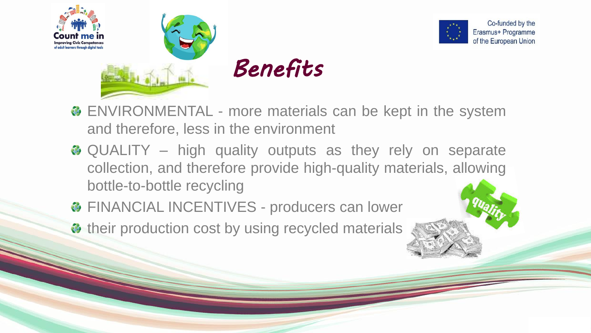



- **& ENVIRONMENTAL more materials can be kept in the system** and therefore, less in the environment
- **& QUALITY** high quality outputs as they rely on separate collection, and therefore provide high-quality materials, allowing bottle-to-bottle recycling
- **& FINANCIAL INCENTIVES producers can lower**
- their production cost by using recycled materials